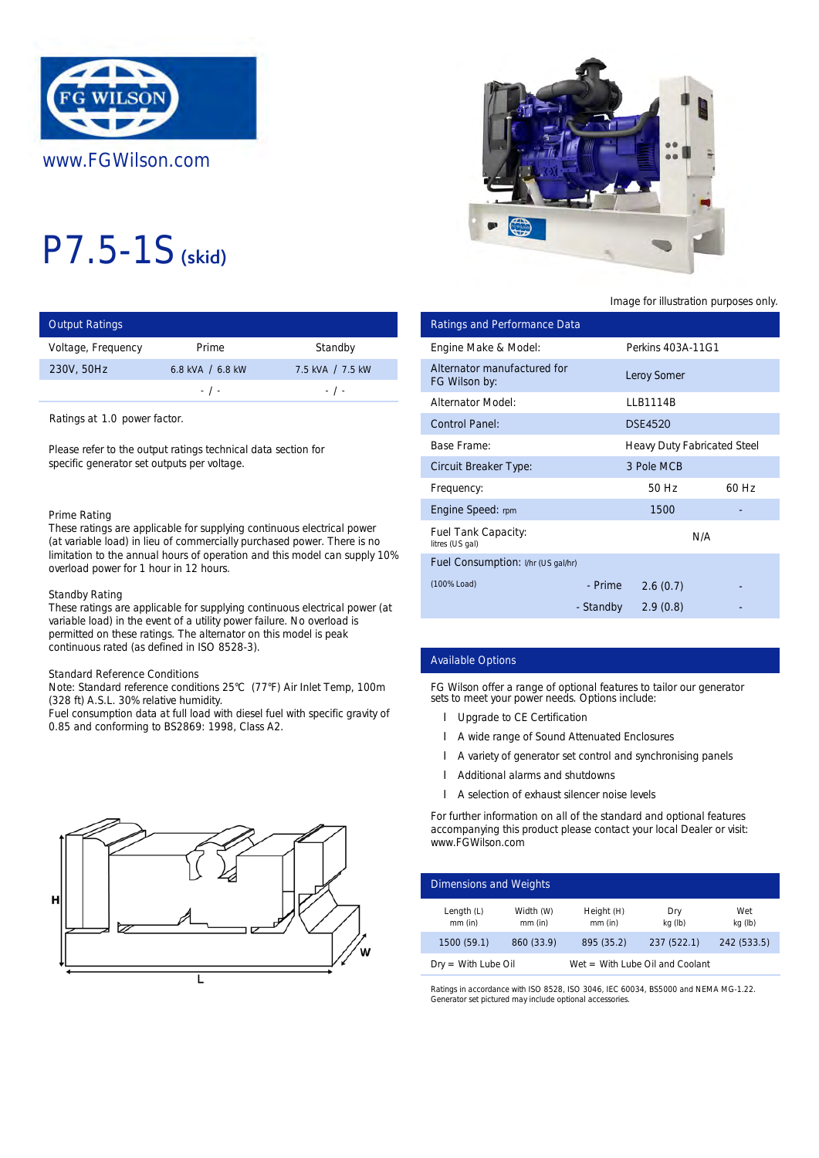

# P7.5-1S (skid)

| <b>Output Ratings</b> |                  |                  | Ratings and Performance Data |            |
|-----------------------|------------------|------------------|------------------------------|------------|
| Voltage, Frequency    | Prime            | Standby          | Engine Make & Model:         | Perkins 40 |
| 230V, 50Hz            | 6.8 kVA / 6.8 kW | 7.5 kVA / 7.5 kW | Alternator manufactured for  | Leroy Som  |
|                       | $-1$ $-$         | $-1$ -           | FG Wilson by:                |            |
|                       |                  |                  | <b>Alternator Model:</b>     | LLB1114B   |

Ratings at 1.0 power factor.

Please refer to the output ratings technical data section for specific generator set outputs per voltage.

#### Prime Rating

These ratings are applicable for supplying continuous electrical power (at variable load) in lieu of commercially purchased power. There is no limitation to the annual hours of operation and this model can supply 10% overload power for 1 hour in 12 hours.

#### Standby Rating

These ratings are applicable for supplying continuous electrical power (at variable load) in the event of a utility power failure. No overload is permitted on these ratings. The alternator on this model is peak continuous rated (as defined in ISO 8528-3).

# Standard Reference Conditions

Note: Standard reference conditions 25°C (77°F) Air Inlet Temp, 100m (328 ft) A.S.L. 30% relative humidity.

Fuel consumption data at full load with diesel fuel with specific gravity of 0.85 and conforming to BS2869: 1998, Class A2.





# Image for illustration purposes only.

| ings                |                                                                                                                                                           |                                                                    |                                                   | <b>Ratings and Performance Data</b>                                                                                                                                                                                                                                                                                                                            |                         |                             |                |
|---------------------|-----------------------------------------------------------------------------------------------------------------------------------------------------------|--------------------------------------------------------------------|---------------------------------------------------|----------------------------------------------------------------------------------------------------------------------------------------------------------------------------------------------------------------------------------------------------------------------------------------------------------------------------------------------------------------|-------------------------|-----------------------------|----------------|
| equency             | Prime                                                                                                                                                     | Standby                                                            | Engine Make & Model:                              |                                                                                                                                                                                                                                                                                                                                                                |                         | Perkins 403A-11G1           |                |
| z                   | 6.8 kVA / 6.8 kW<br>$-$ / $-$                                                                                                                             | 7.5 kVA / 7.5 kW<br>$-$ / $-$                                      | Alternator manufactured for<br>FG Wilson by:      |                                                                                                                                                                                                                                                                                                                                                                |                         | Leroy Somer                 |                |
|                     |                                                                                                                                                           |                                                                    | <b>Alternator Model:</b>                          |                                                                                                                                                                                                                                                                                                                                                                |                         | <b>LLB1114B</b>             |                |
| 1.0 power factor.   |                                                                                                                                                           |                                                                    | <b>Control Panel:</b>                             |                                                                                                                                                                                                                                                                                                                                                                |                         | <b>DSE4520</b>              |                |
|                     | to the output ratings technical data section for                                                                                                          |                                                                    | <b>Base Frame:</b>                                |                                                                                                                                                                                                                                                                                                                                                                |                         | Heavy Duty Fabricated Steel |                |
|                     | erator set outputs per voltage.                                                                                                                           |                                                                    | <b>Circuit Breaker Type:</b>                      |                                                                                                                                                                                                                                                                                                                                                                |                         | 3 Pole MCB                  |                |
|                     |                                                                                                                                                           |                                                                    | Frequency:                                        |                                                                                                                                                                                                                                                                                                                                                                |                         | 50 Hz                       | 60 Hz          |
| ٦g                  |                                                                                                                                                           |                                                                    | Engine Speed: rpm                                 |                                                                                                                                                                                                                                                                                                                                                                |                         | 1500                        |                |
|                     | gs are applicable for supplying continuous electrical power<br>load) in lieu of commercially purchased power. There is no                                 |                                                                    | Fuel Tank Capacity:<br>litres (US gal)            |                                                                                                                                                                                                                                                                                                                                                                |                         | N/A                         |                |
|                     | ower for 1 hour in 12 hours.                                                                                                                              | o the annual hours of operation and this model can supply 10%      |                                                   | Fuel Consumption: I/hr (US gal/hr)                                                                                                                                                                                                                                                                                                                             |                         |                             |                |
| ıtina               |                                                                                                                                                           |                                                                    | (100% Load)                                       |                                                                                                                                                                                                                                                                                                                                                                | - Prime                 | 2.6(0.7)                    |                |
|                     | d) in the event of a utility power failure. No overload is<br>In these ratings. The alternator on this model is peak<br>rated (as defined in ISO 8528-3). | gs are applicable for supplying continuous electrical power (at    |                                                   |                                                                                                                                                                                                                                                                                                                                                                | - Standby               | 2.9(0.8)                    |                |
|                     |                                                                                                                                                           |                                                                    | <b>Available Options</b>                          |                                                                                                                                                                                                                                                                                                                                                                |                         |                             |                |
| eference Conditions | dard reference conditions 25°C (77°F) Air Inlet Temp, 100m<br>.L. 30% relative humidity.<br>onforming to BS2869: 1998, Class A2.                          | mption data at full load with diesel fuel with specific gravity of |                                                   | FG Wilson offer a range of optional features to tailor our generator<br>sets to meet your power needs. Options include:<br><b>Upgrade to CE Certification</b><br>A wide range of Sound Attenuated Enclosures<br>A variety of generator set control and synchronising panels<br>Additional alarms and shutdowns<br>A selection of exhaust silencer noise levels |                         |                             |                |
|                     |                                                                                                                                                           |                                                                    | www.FGWilson.com<br><b>Dimensions and Weights</b> | For further information on all of the standard and optional features<br>accompanying this product please contact your local Dealer or visit:                                                                                                                                                                                                                   |                         |                             |                |
|                     |                                                                                                                                                           |                                                                    | Length $(L)$<br>mm (in)                           | Width (W)<br>mm (in)                                                                                                                                                                                                                                                                                                                                           | Height (H)<br>$mm$ (in) | Dry<br>kg (lb)              | Wet<br>kg (lb) |
|                     |                                                                                                                                                           |                                                                    | 1500 (59.1)                                       | 860 (33.9)                                                                                                                                                                                                                                                                                                                                                     | 895 (35.2)              | 237 (522.1)                 | 242 (533.5)    |

### Available Options

- **I** Upgrade to CE Certification
- A wide range of Sound Attenuated Enclosures
- l A variety of generator set control and synchronising panels
- Additional alarms and shutdowns
- l A selection of exhaust silencer noise levels

| Dimensions and Weights    |                        |                         |                                   |                |  |
|---------------------------|------------------------|-------------------------|-----------------------------------|----------------|--|
| Length $(L)$<br>$mm$ (in) | Width (W)<br>$mm$ (in) | Height (H)<br>$mm$ (in) | Dry<br>kg (lb)                    | Wet<br>kg (lb) |  |
| 1500 (59.1)               | 860 (33.9)             | 895 (35.2)              | 237 (522.1)                       | 242 (533.5)    |  |
| $Dry = With Lube Oil$     |                        |                         | $Wet = With Lube Oil and Coolant$ |                |  |

Ratings in accordance with ISO 8528, ISO 3046, IEC 60034, BS5000 and NEMA MG-1.22. Generator set pictured may include optional accessories.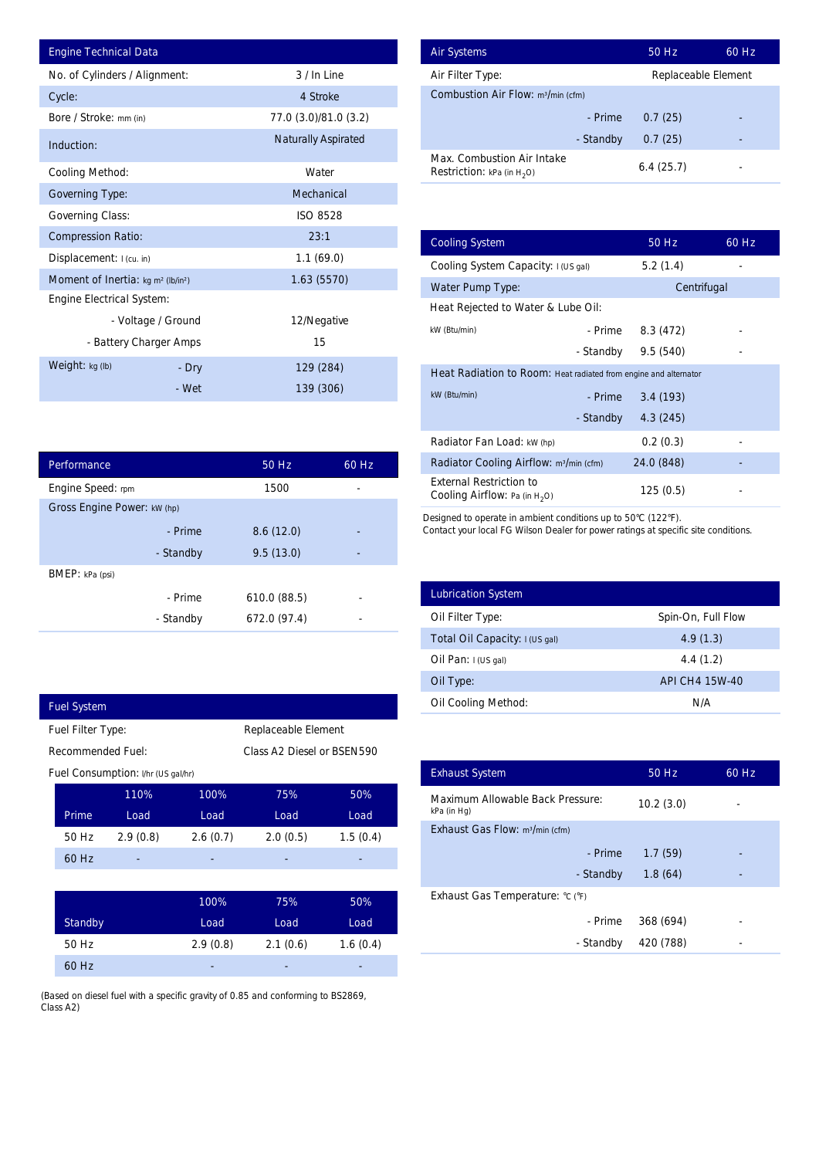| <b>Engine Technical Data</b>                               |                        |                            |       | <b>Air Systems</b>                |
|------------------------------------------------------------|------------------------|----------------------------|-------|-----------------------------------|
| No. of Cylinders / Alignment:                              |                        | 3 / In Line                |       | Air Filter Ty                     |
| Cycle:                                                     |                        | 4 Stroke                   |       | Combustior                        |
| Bore / Stroke: mm (in)                                     |                        | 77.0 (3.0)/81.0 (3.2)      |       |                                   |
| Induction:                                                 |                        | <b>Naturally Aspirated</b> |       | Max. Comb                         |
| <b>Cooling Method:</b>                                     |                        | Water                      |       | <b>Restriction:</b>               |
| <b>Governing Type:</b>                                     |                        | Mechanical                 |       |                                   |
| <b>Governing Class:</b>                                    |                        | <b>ISO 8528</b>            |       |                                   |
| <b>Compression Ratio:</b>                                  |                        | 23:1                       |       | <b>Cooling Sys</b>                |
| Displacement: I (cu. in)                                   |                        | 1.1(69.0)                  |       | <b>Cooling Sys</b>                |
| Moment of Inertia: kg m <sup>2</sup> (lb/in <sup>2</sup> ) |                        | 1.63 (5570)                |       | Water Pum                         |
| <b>Engine Electrical System:</b>                           |                        |                            |       | <b>Heat Reject</b>                |
|                                                            | - Voltage / Ground     | 12/Negative                |       | kW (Btu/min)                      |
|                                                            | - Battery Charger Amps | 15                         |       |                                   |
| Weight: kg (lb)                                            | - Dry                  | 129 (284)                  |       | <b>Heat Radia</b>                 |
|                                                            | - Wet                  | 139 (306)                  |       | kW (Btu/min)                      |
|                                                            |                        |                            |       |                                   |
|                                                            |                        |                            |       | Radiator Fa                       |
| Performance                                                |                        | 50 Hz                      | 60 Hz | <b>Radiator Co</b>                |
| Engine Speed: rpm                                          |                        | 1500                       |       | <b>External Re</b><br>Cooling Air |
| Gross Engine Power: kW (hp)                                |                        |                            |       | Designed to op                    |
|                                                            | - Prime                | 8.6(12.0)                  |       | Contact your lo                   |
|                                                            | - Standby              | 9.5(13.0)                  |       |                                   |
| BMEP: kPa (psi)                                            |                        |                            |       |                                   |
|                                                            | - Prime                | 610.0 (88.5)               |       | Lubrication                       |
|                                                            | - Standby              | 672.0 (97.4)               |       | Oil Filter Ty                     |
|                                                            |                        |                            |       | Total Oil Ca                      |
|                                                            |                        |                            |       | Oil Pan: I (U                     |
|                                                            |                        |                            |       | Oil Type:                         |
| <b>Fuel System</b>                                         |                        |                            |       | Oil Cooling                       |
| Fuel Filter Type:                                          |                        | Replaceable Element        |       |                                   |

| Performance                 |           | 50 Hz        | $60$ Hz |  |  |
|-----------------------------|-----------|--------------|---------|--|--|
| Engine Speed: rpm           |           | 1500         |         |  |  |
| Gross Engine Power: kW (hp) |           |              |         |  |  |
|                             | - Prime   | 8.6(12.0)    |         |  |  |
|                             | - Standby | 9.5(13.0)    |         |  |  |
| <b>BMEP</b> : kPa (psi)     |           |              |         |  |  |
|                             | - Prime   | 610.0 (88.5) |         |  |  |
|                             | - Standby | 672.0 (97.4) |         |  |  |

| <b>Fuel System</b>                       |                          |                                    |          |                            |          |
|------------------------------------------|--------------------------|------------------------------------|----------|----------------------------|----------|
| Replaceable Element<br>Fuel Filter Type: |                          |                                    |          |                            |          |
|                                          | <b>Recommended Fuel:</b> |                                    |          | Class A2 Diesel or BSEN590 |          |
|                                          |                          | Fuel Consumption: I/hr (US gal/hr) |          |                            |          |
|                                          |                          | 110%                               | 100%     | 75%                        | 50%      |
|                                          | Prime                    | Load                               | Load     | Load                       | Load     |
|                                          | 50 Hz                    | 2.9(0.8)                           | 2.6(0.7) | 2.0(0.5)                   | 1.5(0.4) |
|                                          | 60 Hz                    |                                    |          |                            |          |
|                                          |                          |                                    |          |                            |          |
|                                          |                          |                                    | 100%     | 75%                        | 50%      |
|                                          |                          |                                    |          |                            |          |

I

| <b>Standby</b> | Load     | Load     | Load     |
|----------------|----------|----------|----------|
| 50 Hz          | 2.9(0.8) | 2.1(0.6) | 1.6(0.4) |
| 60 Hz          | ۰        | ٠        | ۰        |

(Based on diesel fuel with a specific gravity of 0.85 and conforming to BS2869, Class A2)

| <b>Air Systems</b>                                                 | 50 Hz               | 60 Hz |
|--------------------------------------------------------------------|---------------------|-------|
| Air Filter Type:                                                   | Replaceable Element |       |
| <b>Combustion Air Flow: m3/min (cfm)</b>                           |                     |       |
| - Prime                                                            | 0.7(25)             |       |
| - Standby                                                          | 0.7(25)             |       |
| Max. Combustion Air Intake<br><b>Restriction:</b> kPa (in $H_2O$ ) | 6.4(25.7)           |       |

|                          | 3 / In Line                |          | Air Filter Type:                                                          | Replaceable Element |       |
|--------------------------|----------------------------|----------|---------------------------------------------------------------------------|---------------------|-------|
|                          | 4 Stroke                   |          | Combustion Air Flow: m <sup>3/min</sup> (cfm)                             |                     |       |
|                          | 77.0 (3.0)/81.0 (3.2)      |          | - Prime                                                                   | 0.7(25)             |       |
|                          | <b>Naturally Aspirated</b> |          | - Standby                                                                 | 0.7(25)             |       |
|                          | Water                      |          | Max. Combustion Air Intake<br><b>Restriction:</b> kPa (in $H_2O$ )        | 6.4(25.7)           |       |
|                          | Mechanical                 |          |                                                                           |                     |       |
|                          | <b>ISO 8528</b>            |          |                                                                           |                     |       |
|                          | 23:1                       |          | <b>Cooling System</b>                                                     | 50 Hz               | 60 Hz |
|                          | 1.1(69.0)                  |          | Cooling System Capacity: I (US gal)                                       | 5.2(1.4)            |       |
|                          | 1.63(5570)                 |          | Water Pump Type:                                                          | Centrifugal         |       |
|                          |                            |          | Heat Rejected to Water & Lube Oil:                                        |                     |       |
| ٦d                       | 12/Negative                |          | kW (Btu/min)<br>- Prime                                                   | 8.3 (472)           |       |
| ps                       | 15                         |          | - Standby                                                                 | 9.5(540)            |       |
| ry                       | 129 (284)                  |          | Heat Radiation to Room: Heat radiated from engine and alternator          |                     |       |
| 'et                      | 139 (306)                  |          | kW (Btu/min)<br>- Prime                                                   | 3.4(193)            |       |
|                          |                            |          | - Standby                                                                 | 4.3(245)            |       |
|                          |                            |          | Radiator Fan Load: kW (hp)                                                | 0.2(0.3)            |       |
|                          | 50 Hz                      | 60 Hz    | Radiator Cooling Airflow: m <sup>3</sup> /min (cfm)                       | 24.0 (848)          |       |
|                          | 1500                       |          | <b>External Restriction to</b><br><b>Cooling Airflow:</b> Pa (in $H_2O$ ) | 125(0.5)            |       |
| by                       | 9.5(13.0)                  |          |                                                                           |                     |       |
| ne                       | 610.0 (88.5)               |          | <b>Lubrication System</b>                                                 |                     |       |
| by                       | 672.0 (97.4)               |          | Oil Filter Type:                                                          | Spin-On, Full Flow  |       |
|                          |                            |          | Total Oil Capacity: I (US gal)                                            | 4.9(1.3)            |       |
|                          |                            |          | Oil Pan: I (US gal)                                                       | 4.4(1.2)            |       |
|                          |                            |          | Oil Type:                                                                 | API CH4 15W-40      |       |
|                          |                            |          | Oil Cooling Method:                                                       | N/A                 |       |
|                          | Replaceable Element        |          |                                                                           |                     |       |
|                          | Class A2 Diesel or BSEN590 |          |                                                                           |                     |       |
|                          |                            |          | <b>Exhaust System</b>                                                     | 50 Hz               |       |
| 100%<br>Load             | 75%<br>Load                |          |                                                                           |                     | 60 Hz |
|                          | 2.0(0.5)                   | 50%      | Maximum Allowable Back Pressure:<br>kPa (in Hg)                           | 10.2(3.0)           |       |
|                          |                            | Load     | Exhaust Gas Flow: m <sup>3</sup> /min (cfm)                               |                     |       |
|                          |                            | 1.5(0.4) | - Prime                                                                   | 1.7(59)             |       |
|                          |                            |          | - Standby                                                                 | 1.8(64)             |       |
|                          | 75%                        | 50%      | Exhaust Gas Temperature: °C (°F)                                          |                     |       |
| 2.6(0.7)<br>100%<br>Load | Load                       | Load     | - Prime                                                                   | 368 (694)           |       |

| <b>Lubrication System</b>      |                    |
|--------------------------------|--------------------|
| Oil Filter Type:               | Spin-On, Full Flow |
| Total Oil Capacity: I (US gal) | 4.9(1.3)           |
| Oil Pan: $I(US gal)$           | 4.4(1.2)           |
| Oil Type:                      | API CH4 15W-40     |
| <b>Oil Cooling Method:</b>     | N/A                |

| <b>Exhaust System</b>                           | 50 Hz     | 60 Hz |
|-------------------------------------------------|-----------|-------|
| Maximum Allowable Back Pressure:<br>kPa (in Hg) | 10.2(3.0) |       |
| Exhaust Gas Flow: m <sup>3</sup> /min (cfm)     |           |       |
| - Prime                                         | 1.7(59)   |       |
| - Standby                                       | 1.8(64)   |       |
| Exhaust Gas Temperature: °C (°F)                |           |       |
| - Prime                                         | 368 (694) |       |
| - Standby                                       | 420 (788) |       |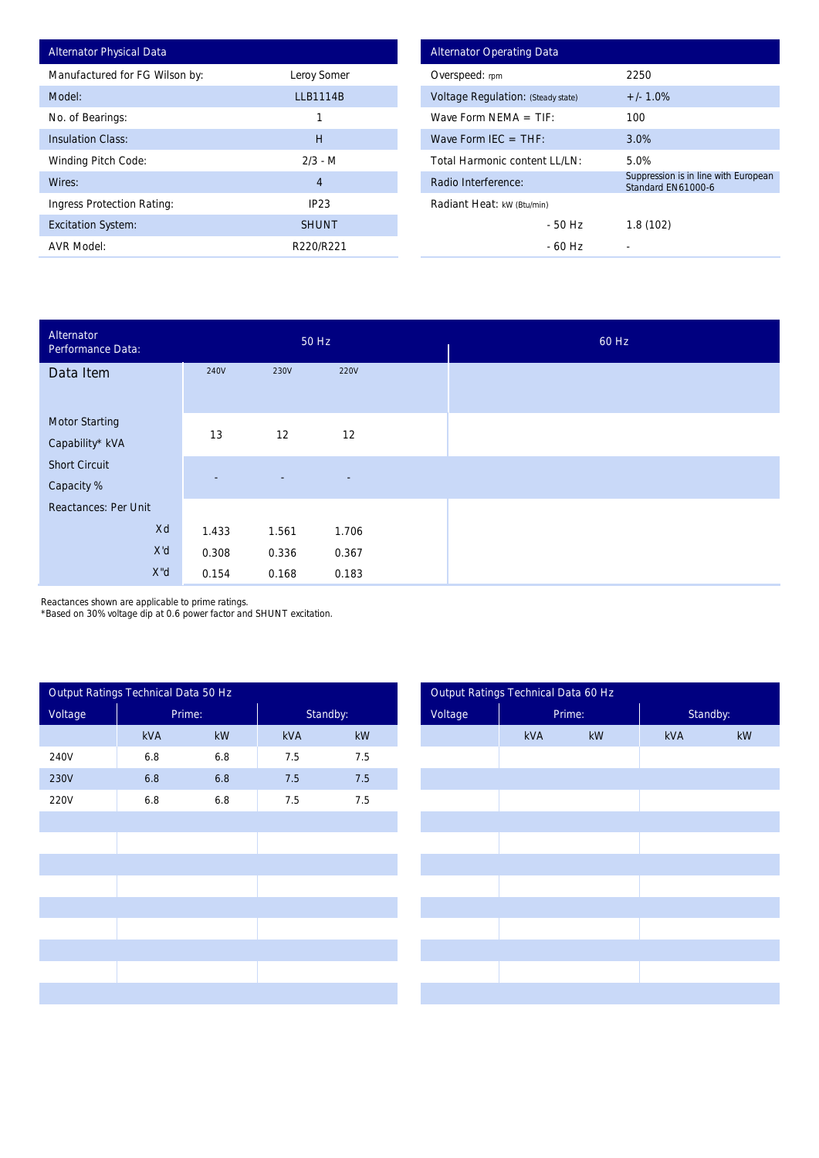| <b>Alternator Physical Data</b> |                 |
|---------------------------------|-----------------|
| Manufactured for FG Wilson by:  | Leroy Somer     |
| Model:                          | <b>LLB1114B</b> |
| No. of Bearings:                | 1               |
| <b>Insulation Class:</b>        | Н               |
| <b>Winding Pitch Code:</b>      | $2/3 - M$       |
| Wires:                          | 4               |
| Ingress Protection Rating:      | IP23            |
| <b>Excitation System:</b>       | <b>SHUNT</b>    |
| <b>AVR Model:</b>               | R220/R221       |

| <b>Alternator Operating Data</b>          |                                                            |  |  |  |  |  |
|-------------------------------------------|------------------------------------------------------------|--|--|--|--|--|
| Overspeed: rpm                            | 2250                                                       |  |  |  |  |  |
| <b>Voltage Regulation: (Steady state)</b> | $+/- 1.0%$                                                 |  |  |  |  |  |
| Wave Form NFMA $=$ TIF:                   | 100                                                        |  |  |  |  |  |
| Wave Form IEC $=$ THF:                    | 3.0%                                                       |  |  |  |  |  |
| Total Harmonic content I I /I N:          | 5.0%                                                       |  |  |  |  |  |
| Radio Interference:                       | Suppression is in line with European<br>Standard FN61000-6 |  |  |  |  |  |
| Radiant Heat: kW (Btu/min)                |                                                            |  |  |  |  |  |
| - 50 Hz                                   | 1.8(102)                                                   |  |  |  |  |  |
| - 60 Hz                                   |                                                            |  |  |  |  |  |

| Alternator<br>Performance Data:          |             |                          | 50 Hz                    |  |
|------------------------------------------|-------------|--------------------------|--------------------------|--|
| Data Item                                | <b>240V</b> | 230V                     | <b>220V</b>              |  |
| <b>Motor Starting</b><br>Capability* kVA | 13          | 12                       | 12                       |  |
| <b>Short Circuit</b><br>Capacity %       | ٠           | $\overline{\phantom{a}}$ | $\overline{\phantom{a}}$ |  |
| <b>Reactances: Per Unit</b>              |             |                          |                          |  |
| Xd                                       | 1.433       | 1.561                    | 1.706                    |  |
| X'd                                      | 0.308       | 0.336                    | 0.367                    |  |
| X"d                                      | 0.154       | 0.168                    | 0.183                    |  |

Reactances shown are applicable to prime ratings.

\*Based on 30% voltage dip at 0.6 power factor and SHUNT excitation.

|         | Output Ratings Technical Data 50 Hz |                        |     |                        |
|---------|-------------------------------------|------------------------|-----|------------------------|
| Voltage |                                     | Prime:                 |     | Standby:               |
|         | kVA                                 | $\mathsf{k}\mathsf{W}$ | kVA | $\mathsf{k}\mathsf{W}$ |
| 240V    | 6.8                                 | $6.8\,$                | 7.5 | 7.5                    |
| 230V    | $6.8\,$                             | $6.8\,$                | 7.5 | 7.5                    |
| 220V    | 6.8                                 | $6.8\,$                | 7.5 | 7.5                    |
|         |                                     |                        |     |                        |
|         |                                     |                        |     |                        |
|         |                                     |                        |     |                        |
|         |                                     |                        |     |                        |
|         |                                     |                        |     |                        |
|         |                                     |                        |     |                        |
|         |                                     |                        |     |                        |
|         |                                     |                        |     |                        |
|         |                                     |                        |     |                        |